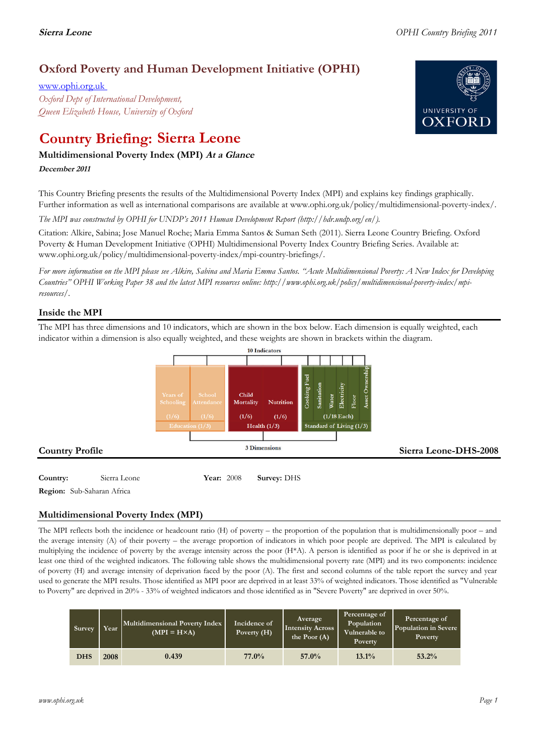## **Oxford Poverty and Human Development Initiative (OPHI)**

www.ophi.org.uk *Oxford Dept of International Development, Queen Elizabeth House, University of Oxford*

# **Country Briefing: Sierra Leone**

### **Multidimensional Poverty Index (MPI) At <sup>a</sup> Glance**

**December <sup>2011</sup>**

This Country Briefing presents the results of the Multidimensional Poverty Index (MPI) and explains key findings graphically. Further information as well as international comparisons are available at www.ophi.org.uk/policy/multidimensional-poverty-index/.

*The MPI was constructed by OPHI for UNDP's 2011 Human Development Report (http://hdr.undp.org/en/).*

Citation: Alkire, Sabina; Jose Manuel Roche; Maria Emma Santos & Suman Seth (2011). Sierra Leone Country Briefing. Oxford Poverty & Human Development Initiative (OPHI) Multidimensional Poverty Index Country Briefing Series. Available at: www.ophi.org.uk/policy/multidimensional-poverty-index/mpi-country-briefings/.

*For more information on the MPI please see Alkire, Sabina and Maria Emma Santos. "Acute Multidimensional Poverty: A New Index for Developing Countries" OPHI Working Paper 38 and the latest MPI resources online: http://www.ophi.org.uk/policy/multidimensional-poverty-index/mpiresources/.*

### **Inside the MPI**

The MPI has three dimensions and 10 indicators, which are shown in the box below. Each dimension is equally weighted, each indicator within a dimension is also equally weighted, and these weights are shown in brackets within the diagram.



**Region:** Sub-Saharan Africa

### **Multidimensional Poverty Index (MPI)**

The MPI reflects both the incidence or headcount ratio (H) of poverty – the proportion of the population that is multidimensionally poor – and the average intensity (A) of their poverty – the average proportion of indicators in which poor people are deprived. The MPI is calculated by multiplying the incidence of poverty by the average intensity across the poor (H\*A). A person is identified as poor if he or she is deprived in at least one third of the weighted indicators. The following table shows the multidimensional poverty rate (MPI) and its two components: incidence of poverty (H) and average intensity of deprivation faced by the poor (A). The first and second columns of the table report the survey and year used to generate the MPI results. Those identified as MPI poor are deprived in at least 33% of weighted indicators. Those identified as "Vulnerable to Poverty" are deprived in 20% - 33% of weighted indicators and those identified as in "Severe Poverty" are deprived in over 50%.

| Survey     | Year | Multidimensional Poverty Index<br>$(MPI = H \times A)$ | Incidence of<br>Poverty (H) | Average<br><b>Intensity Across</b><br>the Poor $(A)$ | Percentage of<br>Population<br>Vulnerable to<br>Poverty | Percentage of<br>Population in Severe<br>Poverty |
|------------|------|--------------------------------------------------------|-----------------------------|------------------------------------------------------|---------------------------------------------------------|--------------------------------------------------|
| <b>DHS</b> | 2008 | 0.439                                                  | 77.0%                       | 57.0%                                                | $13.1\%$                                                | 53.2%                                            |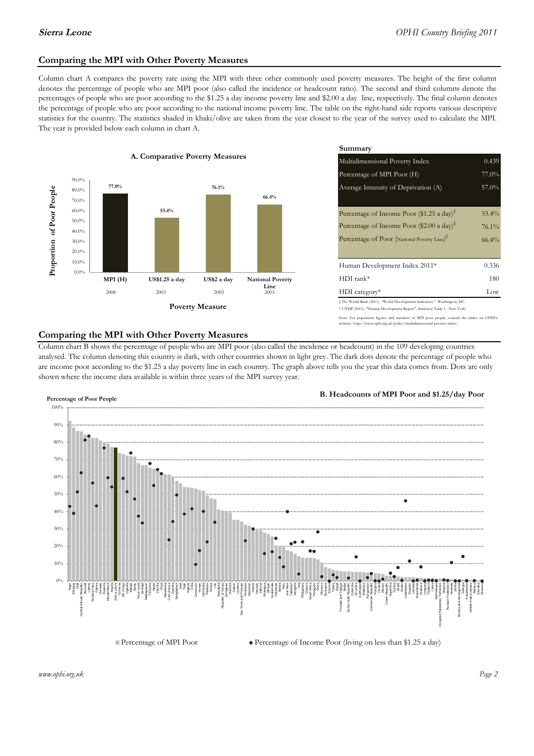### **Comparing the MPI with Other Poverty Measures**

Column chart A compares the poverty rate using the MPI with three other commonly used poverty measures. The height of the first column denotes the percentage of people who are MPI poor (also called the incidence or headcount ratio). The second and third columns denote the percentages of people who are poor according to the \$1.25 a day income poverty line and \$2.00 a day line, respectively. The final column denotes the percentage of people who are poor according to the national income poverty line. The table on the right-hand side reports various descriptive statistics for the country. The statistics shaded in khaki/olive are taken from the year closest to the year of the survey used to calculate the MPI. The year is provided below each column in chart A.



|                                        |              | Summary                                                                                                                                                    |          |  |  |
|----------------------------------------|--------------|------------------------------------------------------------------------------------------------------------------------------------------------------------|----------|--|--|
| erty Measures                          |              | Multidimensional Poverty Index<br>0.439                                                                                                                    |          |  |  |
|                                        |              | Percentage of MPI Poor (H)                                                                                                                                 |          |  |  |
| 76.1%                                  |              | Average Intensity of Deprivation (A)                                                                                                                       | $57.0\%$ |  |  |
|                                        | 66.4%        |                                                                                                                                                            |          |  |  |
|                                        |              | Percentage of Income Poor $(\$1.25 \text{ a day})^{\ddagger}$                                                                                              | $53.4\%$ |  |  |
|                                        |              | Percentage of Income Poor (\$2.00 a day) <sup>‡</sup>                                                                                                      | $76.1\%$ |  |  |
|                                        |              | Percentage of Poor (National Poverty Line) <sup>#</sup>                                                                                                    | 66.4%    |  |  |
|                                        |              |                                                                                                                                                            |          |  |  |
|                                        |              | Human Development Index 2011*                                                                                                                              | 0.336    |  |  |
| US\$2 a day<br><b>National Poverty</b> |              | $HDI$ rank*                                                                                                                                                | 180      |  |  |
| 2003                                   | Line<br>2003 | $HDI category*$                                                                                                                                            | Low      |  |  |
| <b>⁄Ieasure</b>                        |              | $\pm$ The World Bank (2011). "World Development Indicators." Washington, DC.<br>* UNDP (2011). "Human Development Report", Statistical Table 1 . New York. |          |  |  |

population figures and numbers of MPI poor people, consult the tables on OPHI's .<br>://www.ophi.org.uk/policy/multidimensional-poverty-index/

### **Comparing the MPI with Other Poverty Measures**

Column chart B shows the percentage of people who are MPI poor (also called the incidence or headcount) in the 109 developing countries analysed. The column denoting this country is dark, with other countries shown in light grey. The dark dots denote the percentage of people who are income poor according to the \$1.25 a day poverty line in each country. The graph above tells you the year this data comes from. Dots are only shown where the income data available is within three years of the MPI survey year.



**B. Headcounts of MPI Poor and \$1.25/day Poor**

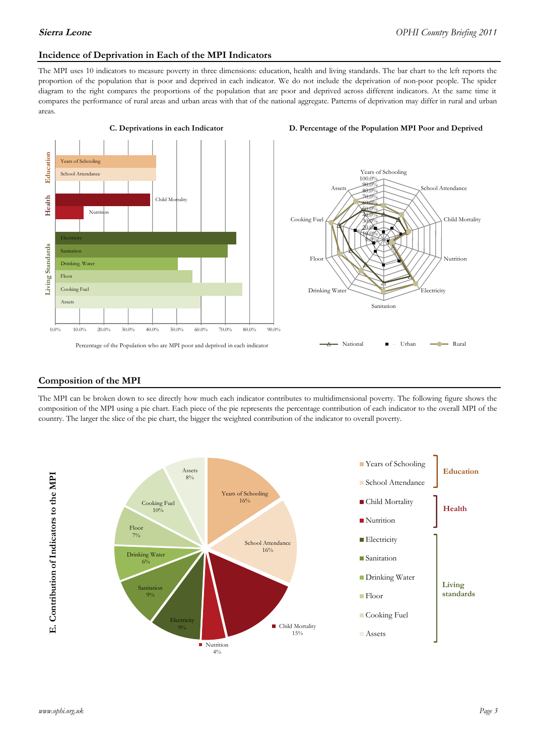### **Incidence of Deprivation in Each of the MPI Indicators**

The MPI uses 10 indicators to measure poverty in three dimensions: education, health and living standards. The bar chart to the left reports the proportion of the population that is poor and deprived in each indicator. We do not include the deprivation of non-poor people. The spider diagram to the right compares the proportions of the population that are poor and deprived across different indicators. At the same time it compares the performance of rural areas and urban areas with that of the national aggregate. Patterns of deprivation may differ in rural and urban areas.





Sanitation

National **- Let** Urban **- 1** Rural

Drinking Water

**Electricity** 

### **Composition of the MPI**

The MPI can be broken down to see directly how much each indicator contributes to multidimensional poverty. The following figure shows the composition of the MPI using a pie chart. Each piece of the pie represents the percentage contribution of each indicator to the overall MPI of the country. The larger the slice of the pie chart, the bigger the weighted contribution of the indicator to overall poverty.

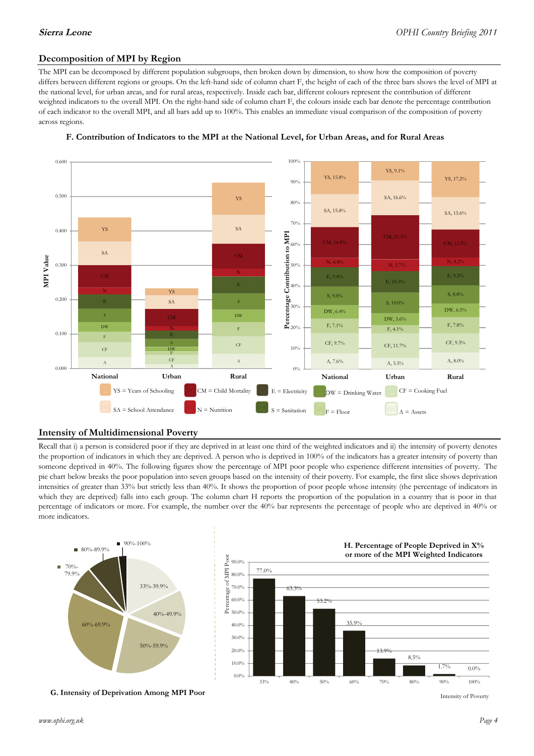### **Decomposition of MPI by Region**

The MPI can be decomposed by different population subgroups, then broken down by dimension, to show how the composition of poverty differs between different regions or groups. On the left-hand side of column chart F, the height of each of the three bars shows the level of MPI at the national level, for urban areas, and for rural areas, respectively. Inside each bar, different colours represent the contribution of different weighted indicators to the overall MPI. On the right-hand side of column chart F, the colours inside each bar denote the percentage contribution of each indicator to the overall MPI, and all bars add up to 100%. This enables an immediate visual comparison of the composition of poverty across regions.



### **F. Contribution of Indicators to the MPI at the National Level, for Urban Areas, and for Rural Areas**

### **Intensity of Multidimensional Poverty**

Recall that i) a person is considered poor if they are deprived in at least one third of the weighted indicators and ii) the intensity of poverty denotes the proportion of indicators in which they are deprived. A person who is deprived in 100% of the indicators has a greater intensity of poverty than someone deprived in 40%. The following figures show the percentage of MPI poor people who experience different intensities of poverty. The pie chart below breaks the poor population into seven groups based on the intensity of their poverty. For example, the first slice shows deprivation intensities of greater than 33% but strictly less than 40%. It shows the proportion of poor people whose intensity (the percentage of indicators in which they are deprived) falls into each group. The column chart H reports the proportion of the population in a country that is poor in that percentage of indicators or more. For example, the number over the 40% bar represents the percentage of people who are deprived in 40% or more indicators.



**G. Intensity of Deprivation Among MPI Poor**



Intensity of Poverty